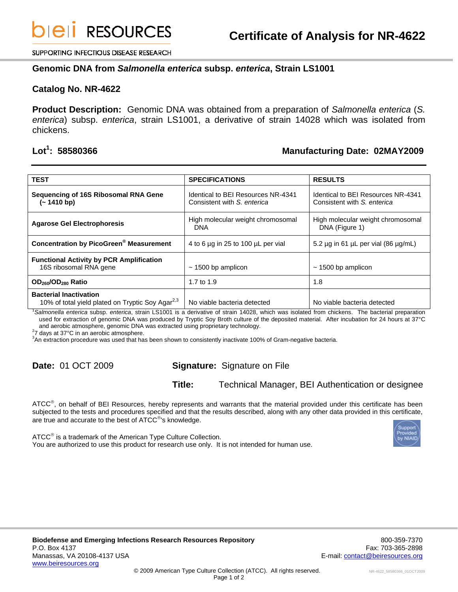SUPPORTING INFECTIOUS DISEASE RESEARCH

### **Genomic DNA from** *Salmonella enterica* **subsp.** *enterica***, Strain LS1001**

### **Catalog No. NR-4622**

**Product Description:** Genomic DNA was obtained from a preparation of *Salmonella enterica* (*S. enterica*) subsp. *enterica*, strain LS1001, a derivative of strain 14028 which was isolated from chickens.

## Lot<sup>1</sup>: 58580366

## **: 58580366 Manufacturing Date: 02MAY2009**

| <b>TEST</b>                                                                                                                                     | <b>SPECIFICATIONS</b>                                             | <b>RESULTS</b>                                                    |
|-------------------------------------------------------------------------------------------------------------------------------------------------|-------------------------------------------------------------------|-------------------------------------------------------------------|
| Sequencing of 16S Ribosomal RNA Gene<br>$(-1410 b p)$                                                                                           | Identical to BEI Resources NR-4341<br>Consistent with S. enterica | Identical to BEI Resources NR-4341<br>Consistent with S. enterica |
| <b>Agarose Gel Electrophoresis</b>                                                                                                              | High molecular weight chromosomal<br><b>DNA</b>                   | High molecular weight chromosomal<br>DNA (Figure 1)               |
| <b>Concentration by PicoGreen<sup>®</sup> Measurement</b>                                                                                       | 4 to 6 µg in 25 to 100 µL per vial                                | 5.2 $\mu$ g in 61 $\mu$ L per vial (86 $\mu$ g/mL)                |
| <b>Functional Activity by PCR Amplification</b><br>16S ribosomal RNA gene                                                                       | $\sim$ 1500 bp amplicon                                           | $\sim$ 1500 bp amplicon                                           |
| OD <sub>260</sub> /OD <sub>280</sub> Ratio                                                                                                      | 1.7 to $1.9$                                                      | 1.8                                                               |
| <b>Bacterial Inactivation</b><br>10% of total yield plated on Tryptic Soy Agar <sup>2,3</sup>                                                   | No viable bacteria detected                                       | No viable bacteria detected                                       |
| Salmonella enterica subsp. enterica, strain LS1001 is a derivative of strain 14028, which was isolated from chickens. The bacterial preparation |                                                                   |                                                                   |

used for extraction of genomic DNA was produced by Tryptic Soy Broth culture of the deposited material. After incubation for 24 hours at 37°C and aerobic atmosphere, genomic DNA was extracted using proprietary technology. 2

<sup>2</sup>7 days at 37°C in an aerobic atmosphere.

3 An extraction procedure was used that has been shown to consistently inactivate 100% of Gram-negative bacteria.

# **Date:** 01 OCT 2009 **Signature:** Signature on File

**Title:** Technical Manager, BEI Authentication or designee

ATCC<sup>®</sup>, on behalf of BEI Resources, hereby represents and warrants that the material provided under this certificate has been subjected to the tests and procedures specified and that the results described, along with any other data provided in this certificate, are true and accurate to the best of ATCC<sup>®</sup>'s knowledge.

ATCC<sup>®</sup> is a trademark of the American Type Culture Collection. You are authorized to use this product for research use only. It is not intended for human use.